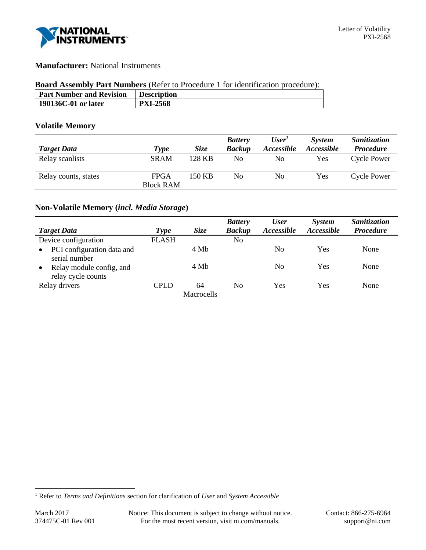

# **Manufacturer:** National Instruments

### **Board Assembly Part Numbers** (Refer to Procedure 1 for identification procedure):

| <b>Part Number and Revision</b> | <b>Description</b> |
|---------------------------------|--------------------|
| 190136C-01 or later             | <b>PXI-2568</b>    |

## **Volatile Memory**

|                      |                  |             | <b>Battery</b> | User <sup>1</sup> | <b>System</b>     | <b>Sanitization</b> |
|----------------------|------------------|-------------|----------------|-------------------|-------------------|---------------------|
| <b>Target Data</b>   | Type             | <i>Size</i> | <b>Backup</b>  | Accessible        | <i>Accessible</i> | <b>Procedure</b>    |
| Relay scanlists      | <b>SRAM</b>      | 128 KB      | No             | No                | <b>Yes</b>        | <b>Cycle Power</b>  |
| Relay counts, states | <b>FPGA</b>      | 150 KB      | No             | No                | Yes               | <b>Cycle Power</b>  |
|                      | <b>Block RAM</b> |             |                |                   |                   |                     |

## **Non-Volatile Memory (***incl. Media Storage***)**

| <b>Target Data</b>                                          | Type         | <b>Size</b> | <b>Battery</b><br><b>Backup</b> | <b>User</b><br>Accessible | System<br>Accessible | <b>Sanitization</b><br><b>Procedure</b> |
|-------------------------------------------------------------|--------------|-------------|---------------------------------|---------------------------|----------------------|-----------------------------------------|
| Device configuration                                        | <b>FLASH</b> |             | No                              |                           |                      |                                         |
| PCI configuration data and<br>$\bullet$<br>serial number    |              | 4 Mb        |                                 | N <sub>0</sub>            | Yes                  | None                                    |
| Relay module config, and<br>$\bullet$<br>relay cycle counts |              | 4 Mb        |                                 | N <sub>0</sub>            | Yes                  | None                                    |
| Relay drivers                                               | CPLD         | 64          | N <sub>0</sub>                  | Yes                       | Yes                  | None                                    |
|                                                             |              | Macrocells  |                                 |                           |                      |                                         |

l

<sup>1</sup> Refer to *Terms and Definitions* section for clarification of *User* and *System Accessible*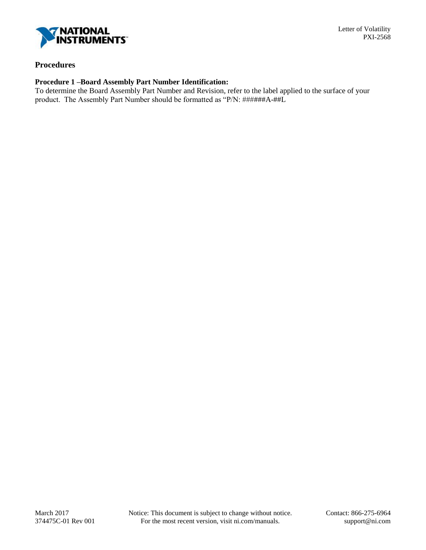

### **Procedures**

## **Procedure 1 –Board Assembly Part Number Identification:**

To determine the Board Assembly Part Number and Revision, refer to the label applied to the surface of your product. The Assembly Part Number should be formatted as "P/N: ######A-##L